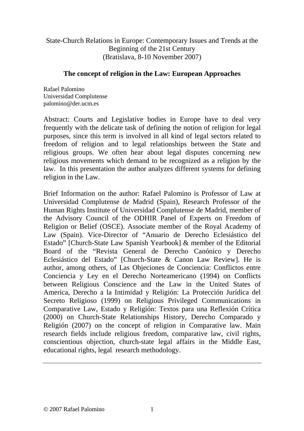State-Church Relations in Europe: Contemporary Issues and Trends at the Beginning of the 21st Century (Bratislava, 8-10 November 2007)

### **The concept of religion in the Law: European Approaches**

Rafael Palomino Universidad Complutense palomino@der.ucm.es

Abstract: Courts and Legislative bodies in Europe have to deal very frequently with the delicate task of defining the notion of religion for legal purposes, since this term is involved in all kind of legal sectors related to freedom of religion and to legal relationships between the State and religious groups. We often hear about legal disputes concerning new religious movements which demand to be recognized as a religion by the law. In this presentation the author analyzes different systems for defining religion in the Law.

Brief Information on the author: Rafael Palomino is Professor of Law at Universidad Complutense de Madrid (Spain), Research Professor of the Human Rights Institute of Universidad Complutense de Madrid, member of the Advisory Council of the ODHIR Panel of Experts on Freedom of Religion or Belief (OSCE). Associate member of the Royal Academy of Law (Spain). Vice-Director of "Anuario de Derecho Eclesiástico del Estado" [Church-State Law Spanish Yearbook] & member of the Editorial Board of the "Revista General de Derecho Canónico y Derecho Eclesiástico del Estado" [Church-State & Canon Law Review]. He is author, among others, of Las Objeciones de Conciencia: Conflictos entre Conciencia y Ley en el Derecho Norteamericano (1994) on Conflicts between Religious Conscience and the Law in the United States of America, Derecho a la Intimidad y Religión: La Protección Jurídica del Secreto Religioso (1999) on Religious Privileged Communications in Comparative Law, Estado y Religión: Textos para una Reflexión Crítica (2000) on Church-State Relationships History, Derecho Comparado y Religión (2007) on the concept of religion in Comparative law. Main research fields include religious freedom, comparative law, civil rights, conscientious objection, church-state legal affairs in the Middle East, educational rights, legal research methodology.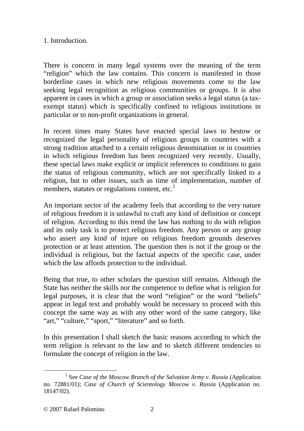# 1. Introduction.

There is concern in many legal systems over the meaning of the term "religion" which the law contains. This concern is manifested in those borderline cases in which new religious movements come to the law seeking legal recognition as religious communities or groups. It is also apparent in cases in which a group or association seeks a legal status (a taxexempt status) which is specifically confined to religious institutions in particular or to non-profit organizations in general.

In recent times many States have enacted special laws to bestow or recognized the legal personality of religious groups in countries with a strong tradition attached to a certain religious denomination or in countries in which religious freedom has been recognized very recently. Usually, these special laws make explicit or implicit references to conditions to gain the status of religious community, which are not specifically linked to a religion, but to other issues, such as time of implementation, number of members, statutes or regulations content, etc.<sup>[1](#page-1-0)</sup>

An important sector of the academy feels that according to the very nature of religious freedom it is unlawful to craft any kind of definition or concept of religion. According to this trend the law has nothing to do with religion and its only task is to protect religious freedom. Any person or any group who assert any kind of injure on religious freedom grounds deserves protection or at least attention. The question then is not if the group or the individual is religious, but the factual aspects of the specific case, under which the law affords protection to the individual.

Being that true, to other scholars the question still remains. Although the State has neither the skills nor the competence to define what is religion for legal purposes, it is clear that the word "religion" or the word "beliefs" appear in legal text and probably would be necessary to proceed with this concept the same way as with any other word of the same category, like "art," "culture," "sport," "literature" and so forth.

In this presentation I shall sketch the basic reasons according to which the term religion is relevant to the law and to sketch different tendencies to formulate the concept of religion in the law.

<span id="page-1-0"></span><sup>&</sup>lt;u>1</u> <sup>1</sup> See *Case of the Moscow Branch of the Salvation Army v. Russia* (Application no. 72881/01); *Case of Church of Scientology Moscow v. Russia* (Application no. 18147/02).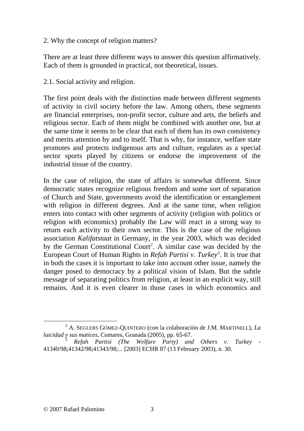## 2. Why the concept of religion matters?

There are at least three different ways to answer this question affirmatively. Each of them is grounded in practical, not theoretical, issues.

2.1. Social activity and religion.

The first point deals with the distinction made between different segments of activity in civil society before the law. Among others, these segments are financial enterprises, non-profit sector, culture and arts, the beliefs and religious sector. Each of them might be combined with another one, but at the same time it seems to be clear that each of them has its own consistency and merits attention by and to itself. That is why, for instance, welfare state promotes and protects indigenous arts and culture, regulates as a special sector sports played by citizens or endorse the improvement of the industrial tissue of the country.

In the case of religion, the state of affairs is somewhat different. Since democratic states recognize religious freedom and some sort of separation of Church and State, governments avoid the identification or entanglement with religion in different degrees. And at the same time, when religion enters into contact with other segments of activity (religion with politics or religion with economics) probably the Law will react in a strong way to return each activity to their own sector. This is the case of the religious association *Kalifatstaat* in Germany, in the year 2003, which was decided by the German Constitutional Court<sup>[2](#page-2-0)</sup>. A similar case was decided by the European Court of Human Rights in *Refah Partisi v. Turkey*<sup>[3](#page-2-1)</sup>. It is true that in both the cases it is important to take into account other issue, namely the danger posed to democracy by a political vision of Islam. But the subtle message of separating politics from religion, at least in an explicit way, still remains. And it is even clearer in those cases in which economics and

<span id="page-2-0"></span> $\overline{\phantom{a}}$  A. SEGLERS GÓMEZ-QUINTERO (con la colaboración de J.M. MARTINELL), *La laicidad y sus matices*, Comares, Granada (2005), pp. 65-67.

<span id="page-2-1"></span><sup>3</sup> *Refah Partisi (The Welfare Party) and Others v. Turkey* - 41340/98;41342/98;41343/98;... [2003] ECHR 87 (13 February 2003), n. 30.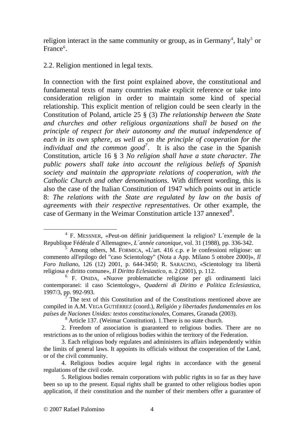religion interact in the same community or group, as in Germany<sup>[4](#page-3-0)</sup>, Italy<sup>[5](#page-3-1)</sup> or France<sup>[6](#page-3-2)</sup>.

2.2. Religion mentioned in legal texts.

In connection with the first point explained above, the constitutional and fundamental texts of many countries make explicit reference or take into consideration religion in order to maintain some kind of special relationship. This explicit mention of religion could be seen clearly in the Constitution of Poland, article 25 § (3) *The relationship between the State and churches and other religious organizations shall be based on the principle of respect for their autonomy and the mutual independence of each in its own sphere, as well as on the principle of cooperation for the*  individual and the common good<sup>[7](#page-3-3)</sup>. It is also the case in the Spanish Constitution, article 16 § 3 *No religion shall have a state character. The public powers shall take into account the religious beliefs of Spanish society and maintain the appropriate relations of cooperation, with the Catholic Church and other denominations*. With different wording, this is also the case of the Italian Constitution of 1947 which points out in article 8: *The relations with the State are regulated by law on the basis of agreements with their respective representatives*. Or other example, the case of Germany in the Weimar Constitution article 137 annexed<sup>[8](#page-3-4)</sup>.

<span id="page-3-0"></span> $\overline{a}$  F. MESSNER, «Peut-on définir juridiquement la religion? L´exemple de la Republique Fédérale d´Allemagne», *L´année canonique*, vol. 31 (1988), pp. 336-342.

<span id="page-3-1"></span><sup>&</sup>lt;sup>5</sup> Among others, M. FORMICA, «L'art. 416 c.p. e le confessioni religiose: un commento all'epilogo del "caso Scientology" (Nota a App. Milano 5 ottobre 2000)», *Il Foro Italiano*, 126 (12) 2001, p. 644-3450; R. SARACINO, «Scientology tra libertà religiosa e diritto comune», *Il Diritto Eclesiastico*, n. 2 (2001), p. 112.

<span id="page-3-2"></span><sup>6</sup> F. ONIDA, «Nuove problematiche religiose per gli ordinamenti laici contemporanei: il caso Scientology», *Quaderni di Diritto e Politica Eclesiastica*, 1997/3, pp. 992-993.

<span id="page-3-3"></span><sup>7</sup> The text of this Constitution and of the Constitutions mentioned above are compiled in A.M. VEGA GUTIÉRREZ (coord.), *Religión y libertades fundamentales en los países de Naciones Unidas: textos constitucionales*, Comares, Granada (2003).

<sup>8</sup> Article 137. (Weimar Constitution). 1.There is no state church.

<span id="page-3-4"></span><sup>2.</sup> Freedom of association is guaranteed to religious bodies. There are no restrictions as to the union of religious bodies within the territory of the Federation.

<sup>3.</sup> Each religious body regulates and administers its affairs independently within the limits of general laws. It appoints its officials without the cooperation of the Land, or of the civil community.

<sup>4.</sup> Religious bodies acquire legal rights in accordance with the general regulations of the civil code.

<sup>5.</sup> Religious bodies remain corporations with public rights in so far as they have been so up to the present. Equal rights shall be granted to other religious bodies upon application, if their constitution and the number of their members offer a guarantee of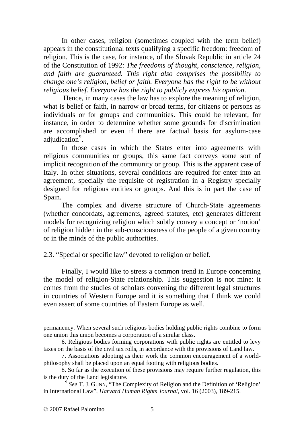In other cases, religion (sometimes coupled with the term belief) appears in the constitutional texts qualifying a specific freedom: freedom of religion. This is the case, for instance, of the Slovak Republic in article 24 of the Constitution of 1992: *The freedoms of thought, conscience, religion, and faith are guaranteed. This right also comprises the possibility to change one's religion, belief or faith. Everyone has the right to be without religious belief. Everyone has the right to publicly express his opinion*.

 Hence, in many cases the law has to explore the meaning of religion, what is belief or faith, in narrow or broad terms, for citizens or persons as individuals or for groups and communities. This could be relevant, for instance, in order to determine whether some grounds for discrimination are accomplished or even if there are factual basis for asylum-case adjudication<sup>[9](#page-4-0)</sup>.

 In those cases in which the States enter into agreements with religious communities or groups, this same fact conveys some sort of implicit recognition of the community or group. This is the apparent case of Italy. In other situations, several conditions are required for enter into an agreement, specially the requisite of registration in a Registry specially designed for religious entities or groups. And this is in part the case of Spain.

The complex and diverse structure of Church-State agreements (whether concordats, agreements, agreed statutes, etc) generates different models for recognizing religion which subtly convey a concept or 'notion' of religion hidden in the sub-consciousness of the people of a given country or in the minds of the public authorities.

#### 2.3. "Special or specific law" devoted to religion or belief.

Finally, I would like to stress a common trend in Europe concerning the model of religion-State relationship. This suggestion is not mine: it comes from the studies of scholars convening the different legal structures in countries of Western Europe and it is something that I think we could even assert of some countries of Eastern Europe as well.

1

permanency. When several such religious bodies holding public rights combine to form one union this union becomes a corporation of a similar class.

<sup>6.</sup> Religious bodies forming corporations with public rights are entitled to levy taxes on the basis of the civil tax rolls, in accordance with the provisions of Land law.

<sup>7.</sup> Associations adopting as their work the common encouragement of a worldphilosophy shall be placed upon an equal footing with religious bodies.

<sup>8.</sup> So far as the execution of these provisions may require further regulation, this is the duty of the Land legislature.

<span id="page-4-0"></span>See T. J. GUNN, "The Complexity of Religion and the Definition of 'Religion' in International Law", *Harvard Human Rights Journal*, vol. 16 (2003), 189-215.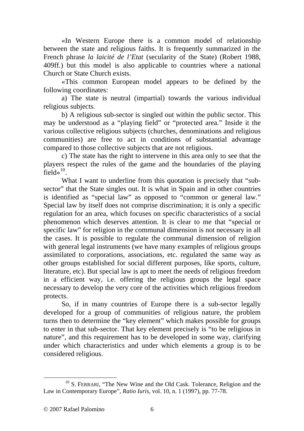«In Western Europe there is a common model of relationship between the state and religious faiths. It is frequently summarized in the French phrase *la laicité de l'Etat* (secularity of the State) (Robert 1988, 409ff.) but this model is also applicable to countries where a national Church or State Church exists.

«This common European model appears to be defined by the following coordinates:

a) The state is neutral (impartial) towards the various individual religious subjects.

b) A religious sub-sector is singled out within the public sector. This may be understood as a "playing field" or "protected area." Inside it the various collective religious subjects (churches, denominations and religious communities) are free to act in conditions of substantial advantage compared to those collective subjects that are not religious.

c) The state has the right to intervene in this area only to see that the players respect the rules of the game and the boundaries of the playing field» $^{10}$  $^{10}$  $^{10}$ 

What I want to underline from this quotation is precisely that "subsector" that the State singles out. It is what in Spain and in other countries is identified as "special law" as opposed to "common or general law." Special law by itself does not comprise discrimination; it is only a specific regulation for an area, which focuses on specific characteristics of a social phenomenon which deserves attention. It is clear to me that "special or specific law" for religion in the communal dimension is not necessary in all the cases. It is possible to regulate the communal dimension of religion with general legal instruments (we have many examples of religious groups assimilated to corporations, associations, etc. regulated the same way as other groups established for social different purposes, like sports, culture, literature, etc). But special law is apt to meet the needs of religious freedom in a efficient way, i.e. offering the religious groups the legal space necessary to develop the very core of the activities which religious freedom protects.

So, if in many countries of Europe there is a sub-sector legally developed for a group of communities of religious nature, the problem turns then to determine the "key element" which makes possible for groups to enter in that sub-sector. That key element precisely is "to be religious in nature", and this requirement has to be developed in some way, clarifying under which characteristics and under which elements a group is to be considered religious.

<span id="page-5-0"></span><sup>&</sup>lt;sup>10</sup> S. FERRARI, "The New Wine and the Old Cask. Tolerance, Religion and the Law in Contemporary Europe", *Ratio Iuris*, vol. 10, n. 1 (1997), pp. 77-78.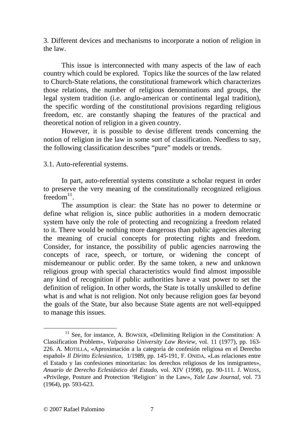3. Different devices and mechanisms to incorporate a notion of religion in the law.

 This issue is interconnected with many aspects of the law of each country which could be explored. Topics like the sources of the law related to Church-State relations, the constitutional framework which characterizes those relations, the number of religious denominations and groups, the legal system tradition (i.e. anglo-american or continental legal tradition), the specific wording of the constitutional provisions regarding religious freedom, etc. are constantly shaping the features of the practical and theoretical notion of religion in a given country.

 However, it is possible to devise different trends concerning the notion of religion in the law in some sort of classification. Needless to say, the following classification describes "pure" models or trends.

## 3.1. Auto-referential systems.

 In part, auto-referential systems constitute a scholar request in order to preserve the very meaning of the constitutionally recognized religious freedom $^{11}$  $^{11}$  $^{11}$ .

The assumption is clear: the State has no power to determine or define what religion is, since public authorities in a modern democratic system have only the role of protecting and recognizing a freedom related to it. There would be nothing more dangerous than public agencies altering the meaning of crucial concepts for protecting rights and freedom. Consider, for instance, the possibility of public agencies narrowing the concepts of race, speech, or torture, or widening the concept of misdemeanour or public order. By the same token, a new and unknown religious group with special characteristics would find almost impossible any kind of recognition if public authorities have a vast power to set the definition of religion. In other words, the State is totally unskilled to define what is and what is not religion. Not only because religion goes far beyond the goals of the State, bur also because State agents are not well-equipped to manage this issues.

<span id="page-6-0"></span> $11$  See, for instance, A. BOWSER, «Delimiting Religion in the Constitution: A Classification Problem», *Valparaiso University Law Review*, vol. 11 (1977), pp. 163- 226. A. MOTILLA, «Aproximación a la categoría de confesión religiosa en el Derecho español» *Il Diritto Eclesiastico*, 1/1989, pp. 145-191, F. ONIDA, «Las relaciones entre el Estado y las confesiones minoritarias: los derechos religiosos de los inmigrantes», *Anuario de Derecho Eclesiástico del Estado*, vol. XIV (1998), pp. 90-111. J. WEISS, «Privilege, Posture and Protection 'Religion' in the Law», *Yale Law Journal*, vol. 73 (1964), pp. 593-623.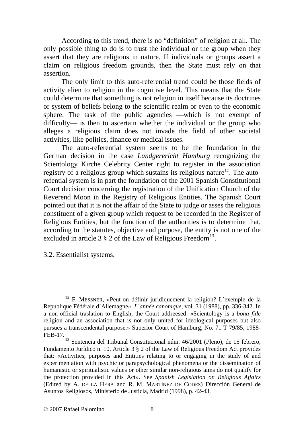According to this trend, there is no "definition" of religion at all. The only possible thing to do is to trust the individual or the group when they assert that they are religious in nature. If individuals or groups assert a claim on religious freedom grounds, then the State must rely on that assertion.

 The only limit to this auto-referential trend could be those fields of activity alien to religion in the cognitive level. This means that the State could determine that something is not religion in itself because its doctrines or system of beliefs belong to the scientific realm or even to the economic sphere. The task of the public agencies —which is not exempt of difficulty— is then to ascertain whether the individual or the group who alleges a religious claim does not invade the field of other societal activities, like politics, finance or medical issues.

 The auto-referential system seems to be the foundation in the German decision in the case *Landgerericht Hamburg* recognizing the Scientology Kirche Celebrity Center right to register in the association registry of a religious group which sustains its religious nature<sup>[12](#page-7-0)</sup>. The autorefential system is in part the foundation of the 2001 Spanish Constitutional Court decision concerning the registration of the Unification Church of the Reverend Moon in the Registry of Religious Entities. The Spanish Court pointed out that it is not the affair of the State to judge or asses the religious constituent of a given group which request to be recorded in the Register of Religious Entities, but the function of the authorities is to determine that, according to the statutes, objective and purpose, the entity is not one of the excluded in article 3  $\S$  2 of the Law of Religious Freedom<sup>[13](#page-7-1)</sup>.

3.2. Essentialist systems.

<span id="page-7-0"></span><sup>&</sup>lt;sup>12</sup> F. MESSNER, «Peut-on définir juridiquement la religion? L'exemple de la Republique Fédérale d´Allemagne», *L´année canonique*, vol. 31 (1988), pp. 336-342. In a non-official traslation to English, the Court addreesed: «Scientology is a *bona fide* religion and an association that is not only united for ideological purposes but also pursues a transcendental purpose.» Superior Court of Hamburg, No. 71 T 79/85, 1988- FEB-17.

<span id="page-7-1"></span><sup>13</sup> Sentencia del Tribunal Constitucional núm. 46/2001 (Pleno), de 15 febrero, Fundamento Jurídico n. 10. Article 3 § 2 of the Law of Religious Freedom Act provides that: «Activities, purposes and Entities relating to or engaging in the study of and experimentation with psychic or parapsychological phenomena or the dissemination of humanistic or spiritualistic values or other similar non-religious aims do not qualify for the protection provided in this Act». See *Spanish Legislation on Religious Affairs* (Edited by A. DE LA HERA and R. M. MARTÍNEZ DE CODES) Dirección General de Asuntos Religiosos, Ministerio de Justicia, Madrid (1998), p. 42-43.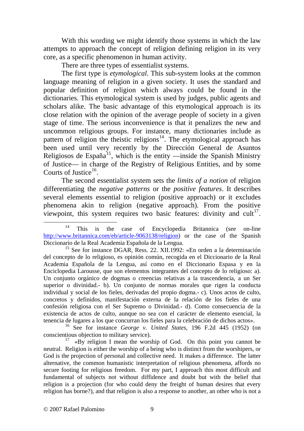With this wording we might identify those systems in which the law attempts to approach the concept of religion defining religion in its very core, as a specific phenomenon in human activity.

There are three types of essentialist systems.

 The first type is *etymological*. This sub-system looks at the common language meaning of religion in a given society. It uses the standard and popular definition of religion which always could be found in the dictionaries. This etymological system is used by judges, public agents and scholars alike. The basic advantage of this etymological approach is its close relation with the opinion of the average people of society in a given stage of time. The serious inconvenience is that it penalizes the new and uncommon religious groups. For instance, many dictionaries include as pattern of religion the theistic religions<sup>[14](#page-8-0)</sup>. The etymological approach has been used until very recently by the Dirección General de Asuntos Religiosos de España<sup>[15](#page-8-1)</sup>, which is the entity —inside the Spanish Ministry of Justice— in charge of the Registry of Religious Entities, and by some Courts of Justice<sup>[16](#page-8-2)</sup>.

 The second essentialist system sets the *limits of a notion* of religion differentiating the *negative patterns* or the *positive features*. It describes several elements essential to religion (positive approach) or it excludes phenomena akin to religion (negative approach). From the positive viewpoint, this system requires two basic features: divinity and  $\text{cut}^{17}$  $\text{cut}^{17}$  $\text{cut}^{17}$ .

<span id="page-8-2"></span>16 See for instance *George v. United States*, 196 F.2d 445 (1952) (on conscientious objection to military service).

<span id="page-8-3"></span>17 «By religion I mean the worship of God. On this point you cannot be neutral. Religion is either the worship of a being who is distinct from the worshipers, or God is the projection of personal and collective need. It makes a difference. The latter alternative, the common humanistic interpretation of religious phenomena, affords no secure footing for religious freedom. For my part, I approach this most difficult and fundamental of subjects not without diffidence and doubt but with the belief that religion is a projection (for who could deny the freight of human desires that every religion has borne?), and that religion is also a response to another, an other who is not a

<span id="page-8-0"></span><sup>&</sup>lt;sup>14</sup> This is the case of Encyclopedia Britannica (see on-line [http://www.britannica.com/eb/article-9063138/religion\)](http://www.britannica.com/eb/article-9063138/religion) or the case of the Spanish Diccionario de la Real Academia Española de la Lengua.

<span id="page-8-1"></span><sup>15</sup> See for instance DGAR, Ress. 22. XII.1992: «En orden a la determinación del concepto de lo religioso, es opinión común, recogida en el Diccionario de la Real Academia Española de la Lengua, así como en el Diccionario Espasa y en la Enciclopedia Larousse, que son elementos integrantes del concepto de lo religioso: a). Un conjunto orgánico de dogmas o creencias relativas a la trascendencia, a un Ser superior o divinidad.- b). Un conjunto de normas morales que rigen la conducta individual y social de los fieles, derivadas del propio dogma.- c). Unos actos de culto, concretos y definidos, manifestación externa de la relación de los fieles de una confesión religiosa con el Ser Supremo o Divinidad.- d). Como consecuencia de la existencia de actos de culto, aunque no sea con el carácter de elemento esencial, la tenencia de lugares a los que concurran los fieles para la celebración de dichos actos».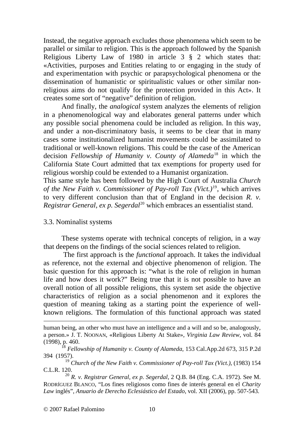Instead, the negative approach excludes those phenomena which seem to be parallel or similar to religion. This is the approach followed by the Spanish Religious Liberty Law of 1980 in article 3 § 2 which states that: «Activities, purposes and Entities relating to or engaging in the study of and experimentation with psychic or parapsychological phenomena or the dissemination of humanistic or spiritualistic values or other similar nonreligious aims do not qualify for the protection provided in this Act». It creates some sort of "negative" definition of religion.

 And finally, the *analogical* system analyzes the elements of religion in a phenomenological way and elaborates general patterns under which any possible social phenomena could be included as religion. In this way, and under a non-discriminatory basis, it seems to be clear that in many cases some institutionalized humanist movements could be assimilated to traditional or well-known religions. This could be the case of the American decision *Fellowship of Humanity v. County of Alameda*[18](#page-9-0) in which the California State Court admitted that tax exemptions for property used for religious worship could be extended to a Humanist organization.

This same style has been followed by the High Court of Australia *Church of the New Faith v. Commissioner of Pay-roll Tax (Vict.)*[19](#page-9-1), which arrives to very different conclusion than that of England in the decision *R. v. Registrar General, ex p. Segerdal*<sup>[20](#page-9-2)</sup> which embraces an essentialist stand.

### 3.3. Nominalist systems

These systems operate with technical concepts of religion, in a way that deepens on the findings of the social sciences related to religion.

 The first approach is the *functional* approach. It takes the individual as reference, not the external and objective phenomenon of religion. The basic question for this approach is: "what is the role of religion in human life and how does it work?" Being true that it is not possible to have an overall notion of all possible religions, this system set aside the objective characteristics of religion as a social phenomenon and it explores the question of meaning taking as a starting point the experience of wellknown religions. The formulation of this functional approach was stated

1

human being, an other who must have an intelligence and a will and so be, analogously, a person.» J. T. NOONAN, «Religious Liberty At Stake», *Virginia Law Review*, vol. 84 (1998), p. 460.

<span id="page-9-0"></span><sup>18</sup> *Fellowship of Humanity v. County of Alameda*, 153 Cal.App.2d 673, 315 P.2d 394 (1957).

<span id="page-9-1"></span><sup>19</sup> *Church of the New Faith v. Commissioner of Pay-roll Tax (Vict.)*, (1983) 154 C.L.R. 120.

<span id="page-9-2"></span><sup>20</sup> *R. v. Registrar General, ex p. Segerdal*, 2 Q.B. 84 (Eng. C.A. 1972). See M. RODRÍGUEZ BLANCO, "Los fines religiosos como fines de interés general en el *Charity Law* inglés", *Anuario de Derecho Eclesiástico del Estado*, vol. XII (2006), pp. 507-543.